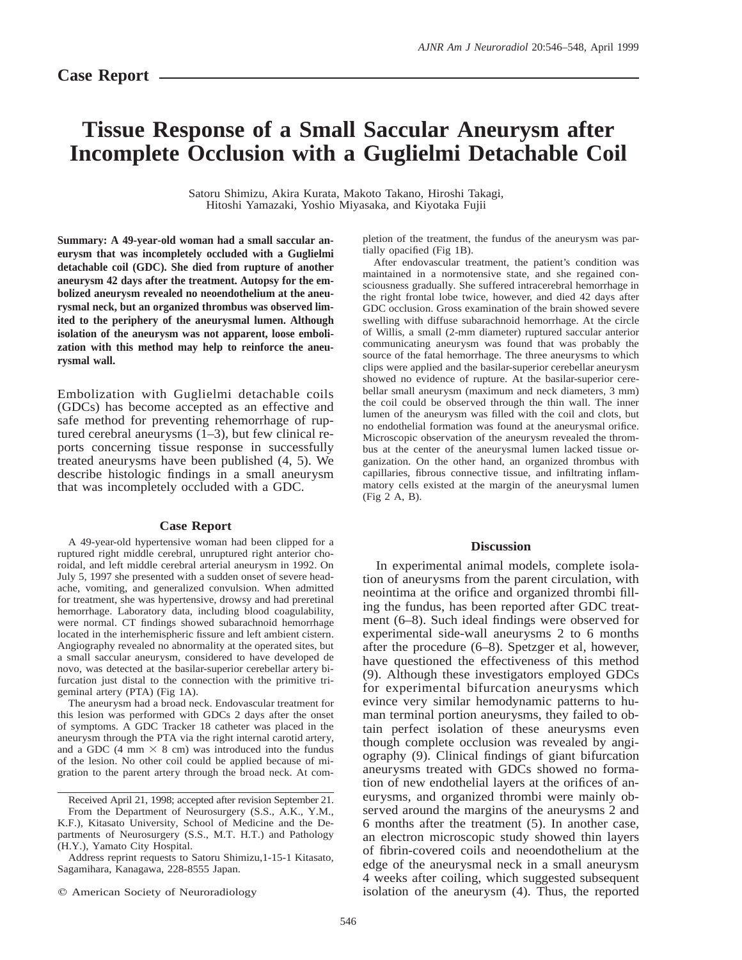## **Tissue Response of a Small Saccular Aneurysm after Incomplete Occlusion with a Guglielmi Detachable Coil**

Satoru Shimizu, Akira Kurata, Makoto Takano, Hiroshi Takagi, Hitoshi Yamazaki, Yoshio Miyasaka, and Kiyotaka Fujii

**Summary: A 49-year-old woman had a small saccular aneurysm that was incompletely occluded with a Guglielmi detachable coil (GDC). She died from rupture of another aneurysm 42 days after the treatment. Autopsy for the embolized aneurysm revealed no neoendothelium at the aneurysmal neck, but an organized thrombus was observed limited to the periphery of the aneurysmal lumen. Although isolation of the aneurysm was not apparent, loose embolization with this method may help to reinforce the aneurysmal wall.**

Embolization with Guglielmi detachable coils (GDCs) has become accepted as an effective and safe method for preventing rehemorrhage of ruptured cerebral aneurysms (1–3), but few clinical reports concerning tissue response in successfully treated aneurysms have been published (4, 5). We describe histologic findings in a small aneurysm that was incompletely occluded with a GDC.

## **Case Report**

A 49-year-old hypertensive woman had been clipped for a ruptured right middle cerebral, unruptured right anterior choroidal, and left middle cerebral arterial aneurysm in 1992. On July 5, 1997 she presented with a sudden onset of severe headache, vomiting, and generalized convulsion. When admitted for treatment, she was hypertensive, drowsy and had preretinal hemorrhage. Laboratory data, including blood coagulability, were normal. CT findings showed subarachnoid hemorrhage located in the interhemispheric fissure and left ambient cistern. Angiography revealed no abnormality at the operated sites, but a small saccular aneurysm, considered to have developed de novo, was detected at the basilar-superior cerebellar artery bifurcation just distal to the connection with the primitive trigeminal artery (PTA) (Fig 1A).

The aneurysm had a broad neck. Endovascular treatment for this lesion was performed with GDCs 2 days after the onset of symptoms. A GDC Tracker 18 catheter was placed in the aneurysm through the PTA via the right internal carotid artery, and a GDC (4 mm  $\times$  8 cm) was introduced into the fundus of the lesion. No other coil could be applied because of migration to the parent artery through the broad neck. At com-

Received April 21, 1998; accepted after revision September 21.

From the Department of Neurosurgery (S.S., A.K., Y.M., K.F.), Kitasato University, School of Medicine and the Departments of Neurosurgery (S.S., M.T. H.T.) and Pathology (H.Y.), Yamato City Hospital.

Address reprint requests to Satoru Shimizu,1-15-1 Kitasato, Sagamihara, Kanagawa, 228-8555 Japan.

pletion of the treatment, the fundus of the aneurysm was partially opacified (Fig 1B).

After endovascular treatment, the patient's condition was maintained in a normotensive state, and she regained consciousness gradually. She suffered intracerebral hemorrhage in the right frontal lobe twice, however, and died 42 days after GDC occlusion. Gross examination of the brain showed severe swelling with diffuse subarachnoid hemorrhage. At the circle of Willis, a small (2-mm diameter) ruptured saccular anterior communicating aneurysm was found that was probably the source of the fatal hemorrhage. The three aneurysms to which clips were applied and the basilar-superior cerebellar aneurysm showed no evidence of rupture. At the basilar-superior cerebellar small aneurysm (maximum and neck diameters, 3 mm) the coil could be observed through the thin wall. The inner lumen of the aneurysm was filled with the coil and clots, but no endothelial formation was found at the aneurysmal orifice. Microscopic observation of the aneurysm revealed the thrombus at the center of the aneurysmal lumen lacked tissue organization. On the other hand, an organized thrombus with capillaries, fibrous connective tissue, and infiltrating inflammatory cells existed at the margin of the aneurysmal lumen (Fig 2 A, B).

## **Discussion**

In experimental animal models, complete isolation of aneurysms from the parent circulation, with neointima at the orifice and organized thrombi filling the fundus, has been reported after GDC treatment (6–8). Such ideal findings were observed for experimental side-wall aneurysms 2 to 6 months after the procedure (6–8). Spetzger et al, however, have questioned the effectiveness of this method (9). Although these investigators employed GDCs for experimental bifurcation aneurysms which evince very similar hemodynamic patterns to human terminal portion aneurysms, they failed to obtain perfect isolation of these aneurysms even though complete occlusion was revealed by angiography (9). Clinical findings of giant bifurcation aneurysms treated with GDCs showed no formation of new endothelial layers at the orifices of aneurysms, and organized thrombi were mainly observed around the margins of the aneurysms 2 and 6 months after the treatment (5). In another case, an electron microscopic study showed thin layers of fibrin-covered coils and neoendothelium at the edge of the aneurysmal neck in a small aneurysm 4 weeks after coiling, which suggested subsequent isolation of the aneurysm (4). Thus, the reported

 $©$  American Society of Neuroradiology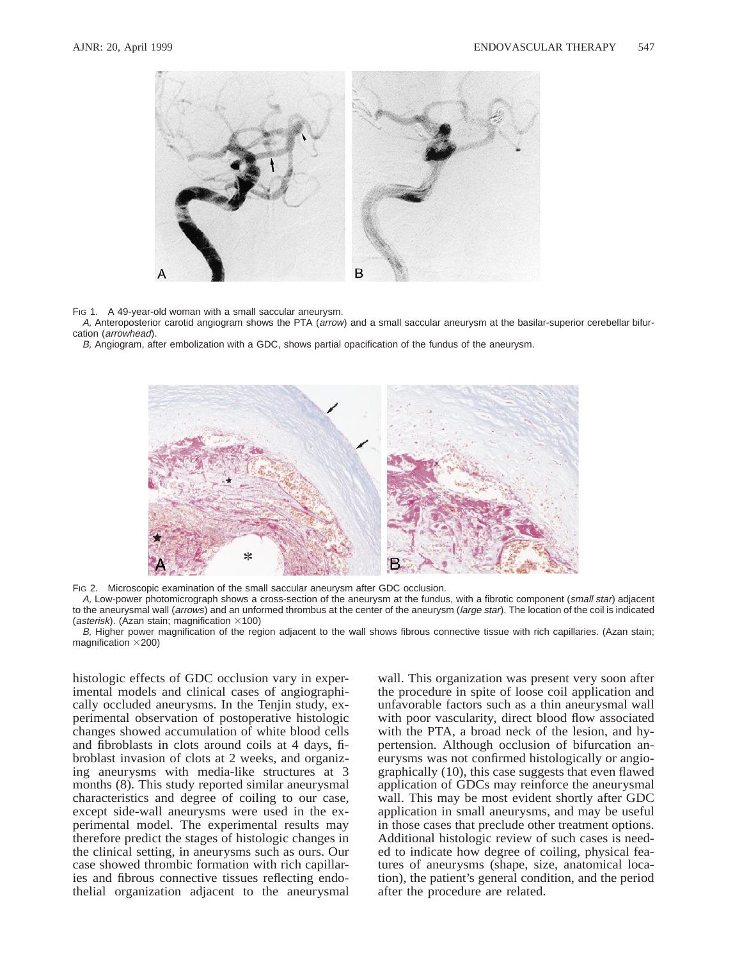

FIG 1. A 49-year-old woman with a small saccular aneurysm.

A, Anteroposterior carotid angiogram shows the PTA (arrow) and a small saccular aneurysm at the basilar-superior cerebellar bifurcation (arrowhead).

B, Angiogram, after embolization with a GDC, shows partial opacification of the fundus of the aneurysm.



FIG 2. Microscopic examination of the small saccular aneurysm after GDC occlusion.

A, Low-power photomicrograph shows a cross-section of the aneurysm at the fundus, with a fibrotic component (small star) adjacent to the aneurysmal wall (arrows) and an unformed thrombus at the center of the aneurysm (large star). The location of the coil is indicated (asterisk). (Azan stain; magnification  $\times$ 100)

B, Higher power magnification of the region adjacent to the wall shows fibrous connective tissue with rich capillaries. (Azan stain; magnification  $\times$ 200)

histologic effects of GDC occlusion vary in experimental models and clinical cases of angiographically occluded aneurysms. In the Tenjin study, experimental observation of postoperative histologic changes showed accumulation of white blood cells and fibroblasts in clots around coils at 4 days, fibroblast invasion of clots at 2 weeks, and organizing aneurysms with media-like structures at 3 months (8). This study reported similar aneurysmal characteristics and degree of coiling to our case, except side-wall aneurysms were used in the experimental model. The experimental results may therefore predict the stages of histologic changes in the clinical setting, in aneurysms such as ours. Our case showed thrombic formation with rich capillaries and fibrous connective tissues reflecting endothelial organization adjacent to the aneurysmal wall. This organization was present very soon after the procedure in spite of loose coil application and unfavorable factors such as a thin aneurysmal wall with poor vascularity, direct blood flow associated with the PTA, a broad neck of the lesion, and hypertension. Although occlusion of bifurcation aneurysms was not confirmed histologically or angiographically (10), this case suggests that even flawed application of GDCs may reinforce the aneurysmal wall. This may be most evident shortly after GDC application in small aneurysms, and may be useful in those cases that preclude other treatment options. Additional histologic review of such cases is needed to indicate how degree of coiling, physical features of aneurysms (shape, size, anatomical location), the patient's general condition, and the period after the procedure are related.